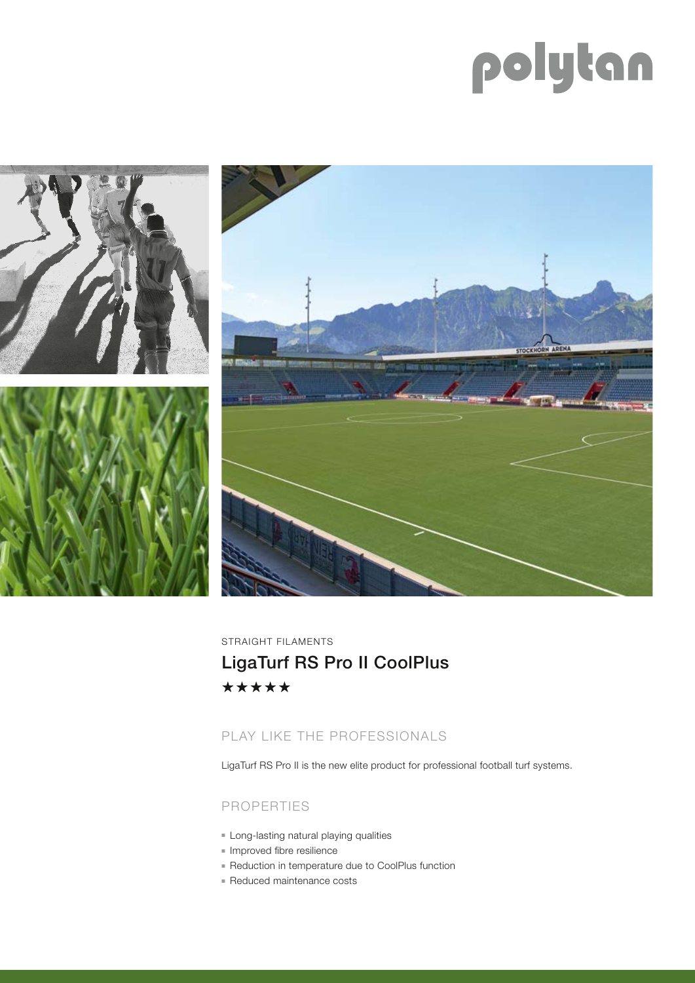# polytan



STRAIGHT FILAMENTS LigaTurf RS Pro II CoolPlus\*\*\*\*\*

## PLAY LIKE THE PROFESSIONALS

LigaTurf RS Pro II is the new elite product for professional football turf systems.

## PROPERTIES

- **Example 1** Long-lasting natural playing qualities
- **n** Improved fibre resilience
- Reduction in temperature due to CoolPlus function
- **Reduced maintenance costs**